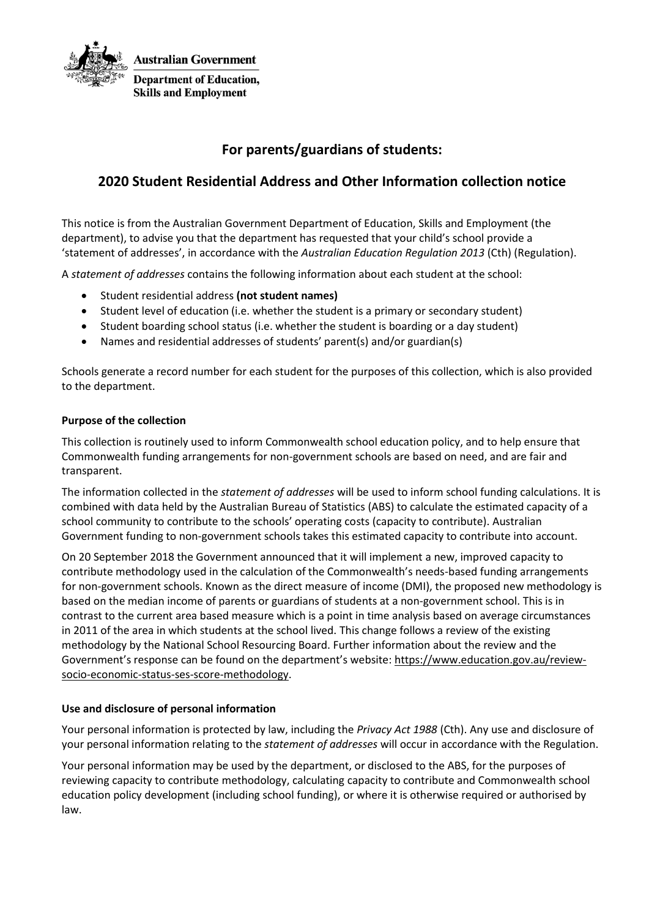

# **For parents/guardians of students:**

## **2020 Student Residential Address and Other Information collection notice**

This notice is from the Australian Government Department of Education, Skills and Employment (the department), to advise you that the department has requested that your child's school provide a 'statement of addresses', in accordance with the *Australian Education Regulation 2013* (Cth) (Regulation).

A *statement of addresses* contains the following information about each student at the school:

- Student residential address **(not student names)**
- Student level of education (i.e. whether the student is a primary or secondary student)
- Student boarding school status (i.e. whether the student is boarding or a day student)
- Names and residential addresses of students' parent(s) and/or guardian(s)

Schools generate a record number for each student for the purposes of this collection, which is also provided to the department.

#### **Purpose of the collection**

This collection is routinely used to inform Commonwealth school education policy, and to help ensure that Commonwealth funding arrangements for non-government schools are based on need, and are fair and transparent.

The information collected in the *statement of addresses* will be used to inform school funding calculations. It is combined with data held by the Australian Bureau of Statistics (ABS) to calculate the estimated capacity of a school community to contribute to the schools' operating costs (capacity to contribute). Australian Government funding to non-government schools takes this estimated capacity to contribute into account.

On 20 September 2018 the Government announced that it will implement a new, improved capacity to contribute methodology used in the calculation of the Commonwealth's needs-based funding arrangements for non-government schools. Known as the direct measure of income (DMI), the proposed new methodology is based on the median income of parents or guardians of students at a non-government school. This is in contrast to the current area based measure which is a point in time analysis based on average circumstances in 2011 of the area in which students at the school lived. This change follows a review of the existing methodology by the National School Resourcing Board. Further information about the review and the Government's response can be found on the department's website: [https://www.education.gov.au/review](https://www.education.gov.au/review-socio-economic-status-ses-score-methodology)[socio-economic-status-ses-score-methodology.](https://www.education.gov.au/review-socio-economic-status-ses-score-methodology)

#### **Use and disclosure of personal information**

Your personal information is protected by law, including the *Privacy Act 1988* (Cth). Any use and disclosure of your personal information relating to the *statement of addresses* will occur in accordance with the Regulation.

Your personal information may be used by the department, or disclosed to the ABS, for the purposes of reviewing capacity to contribute methodology, calculating capacity to contribute and Commonwealth school education policy development (including school funding), or where it is otherwise required or authorised by law.